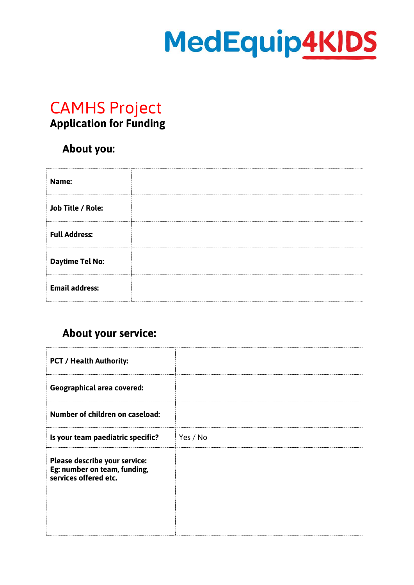# MedEquip4KIDS

## CAMHS Project **Application for Funding**

#### **About you:**

| Name:                  |  |
|------------------------|--|
| Job Title / Role:      |  |
| <b>Full Address:</b>   |  |
| <b>Daytime Tel No:</b> |  |
| <b>Email address:</b>  |  |

## **About your service:**

| <b>PCT / Health Authority:</b>                                                         |          |
|----------------------------------------------------------------------------------------|----------|
| <b>Geographical area covered:</b>                                                      |          |
| Number of children on caseload:                                                        |          |
| Is your team paediatric specific?                                                      | Yes / No |
| Please describe your service:<br>Eg: number on team, funding,<br>services offered etc. |          |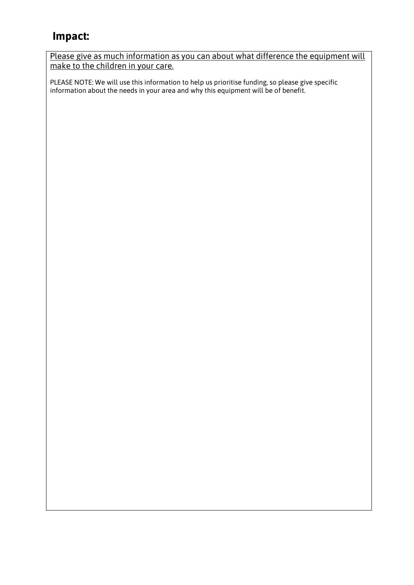### **Impact:**

Please give as much information as you can about what difference the equipment will make to the children in your care.

PLEASE NOTE: We will use this information to help us prioritise funding, so please give specific information about the needs in your area and why this equipment will be of benefit.